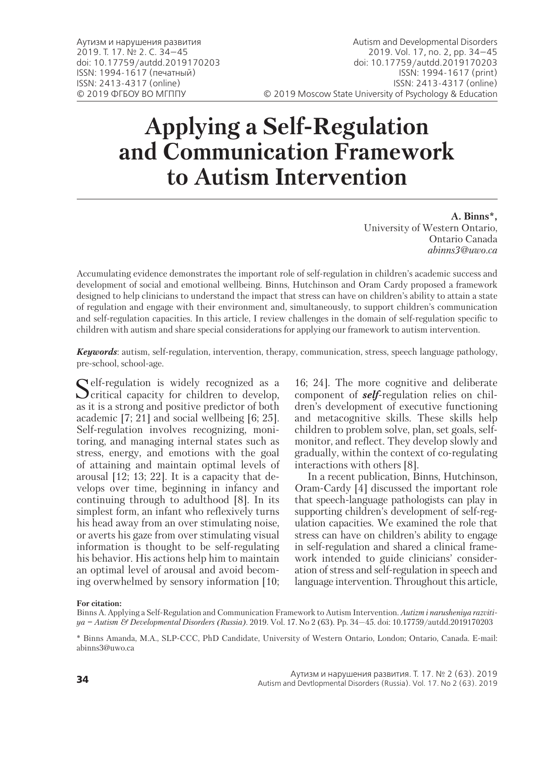# **Applying a Self-Regulation and Communication Framework to Autism Intervention**

**A. Binns\*,** University of Western Ontario, Ontario Canada *abinns3@uwo.ca*

Accumulating evidence demonstrates the important role of self-regulation in children's academic success and development of social and emotional wellbeing. Binns, Hutchinson and Oram Cardy proposed a framework designed to help clinicians to understand the impact that stress can have on children's ability to attain a state of regulation and engage with their environment and, simultaneously, to support children's communication and self-regulation capacities. In this article, I review challenges in the domain of self-regulation specific to children with autism and share special considerations for applying our framework to autism intervention.

*Keywords*: autism, self-regulation, intervention, therapy, communication, stress, speech language pathology, pre-school, school-age.

Self-regulation is widely recognized as a **O** critical capacity for children to develop, as it is a strong and positive predictor of both academic [7; 21] and social wellbeing [6; 25]. Self-regulation involves recognizing, monitoring, and managing internal states such as stress, energy, and emotions with the goal of attaining and maintain optimal levels of arousal [12; 13; 22]. It is a capacity that develops over time, beginning in infancy and continuing through to adulthood [8]. In its simplest form, an infant who reflexively turns his head away from an over stimulating noise, or averts his gaze from over stimulating visual information is thought to be self-regulating his behavior. His actions help him to maintain an optimal level of arousal and avoid becoming overwhelmed by sensory information [10; 16; 24]. The more cognitive and deliberate component of *self*-regulation relies on children's development of executive functioning and metacognitive skills. These skills help children to problem solve, plan, set goals, selfmonitor, and reflect. They develop slowly and gradually, within the context of co-regulating interactions with others [8].

In a recent publication, Binns, Hutchinson, Oram-Cardy [4] discussed the important role that speech-language pathologists can play in supporting children's development of self-regulation capacities. We examined the role that stress can have on children's ability to engage in self-regulation and shared a clinical framework intended to guide clinicians' consideration of stress and self-regulation in speech and language intervention. Throughout this article,

**For citation:**

Binns A. Applying a Self-Regulation and Communication Framework to Autism Intervention. *Autizm i narusheniya razvitiya = Autism & Developmental Disorders (Russia)*. 2019. Vol. 17. No 2 (63). Pp. 34—45. doi: 10.17759/autdd.2019170203

<sup>\*</sup> Binns Amanda, M.A., SLP-CCC, PhD Candidate, University of Western Ontario, London; Ontario, Canada. E-mail: abinns3@uwo.ca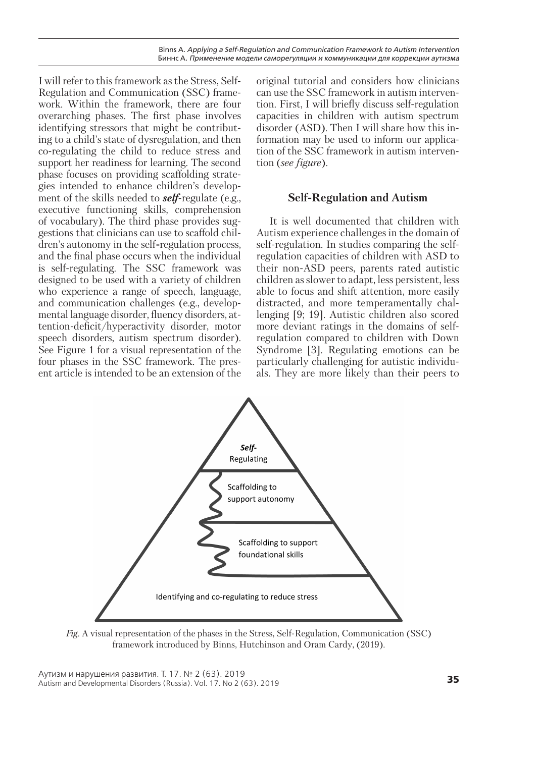I will refer to this framework as the Stress, Self-Regulation and Communication (SSC) framework. Within the framework, there are four overarching phases. The first phase involves identifying stressors that might be contributing to a child's state of dysregulation, and then co-regulating the child to reduce stress and support her readiness for learning. The second phase focuses on providing scaffolding strategies intended to enhance children's development of the skills needed to *self*-regulate (e.g., executive functioning skills, comprehension of vocabulary). The third phase provides suggestions that clinicians can use to scaffold children's autonomy in the self*-*regulation process, and the final phase occurs when the individual is self-regulating. The SSC framework was designed to be used with a variety of children who experience a range of speech, language, and communication challenges (e.g., developmental language disorder, fluency disorders, attention-deficit/hyperactivity disorder, motor speech disorders, autism spectrum disorder). See Figure 1 for a visual representation of the four phases in the SSC framework. The present article is intended to be an extension of the

original tutorial and considers how clinicians can use the SSC framework in autism intervention. First, I will briefly discuss self-regulation capacities in children with autism spectrum disorder (ASD). Then I will share how this information may be used to inform our application of the SSC framework in autism intervention (*see figure*).

# **Self-Regulation and Autism**

It is well documented that children with Autism experience challenges in the domain of self-regulation. In studies comparing the selfregulation capacities of children with ASD to their non-ASD peers, parents rated autistic children as slower to adapt, less persistent, less able to focus and shift attention, more easily distracted, and more temperamentally challenging [9; 19]. Autistic children also scored more deviant ratings in the domains of selfregulation compared to children with Down Syndrome [3]. Regulating emotions can be particularly challenging for autistic individuals. They are more likely than their peers to



*Fig.* A visual representation of the phases in the Stress, Self-Regulation, Communication (SSC) framework introduced by Binns, Hutchinson and Oram Cardy, (2019).

**<sup>35</sup>** Аутизм и нарушения развития. Т. 17. № 2 (63). 2019 Autism and Developmental Disorders (Russia). Vol. 17. No 2 (63). 2019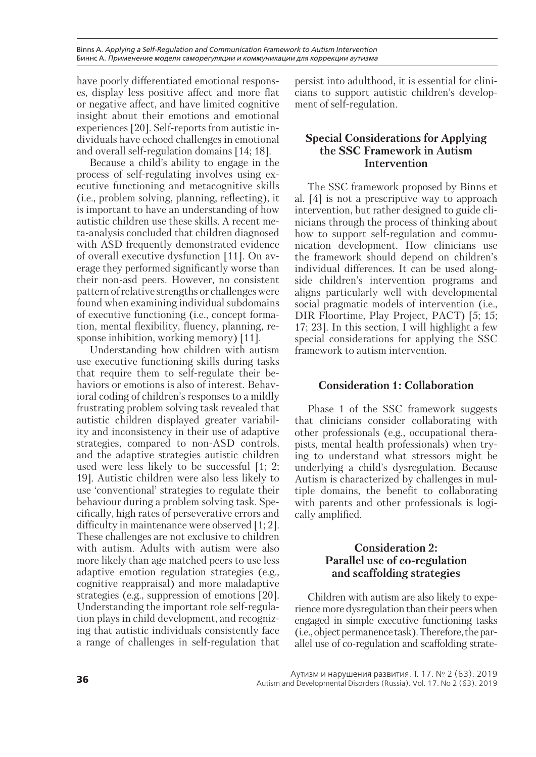Binns A. *Applying a Self-Regulation and Communication Framework to Autism Intervention* Биннс А. *Применение модели саморегуляции и коммуникации для коррекции аутизма*

have poorly differentiated emotional responses, display less positive affect and more flat or negative affect, and have limited cognitive insight about their emotions and emotional experiences [20]. Self-reports from autistic individuals have echoed challenges in emotional and overall self-regulation domains [14; 18].

Because a child's ability to engage in the process of self-regulating involves using executive functioning and metacognitive skills (i.e., problem solving, planning, reflecting), it is important to have an understanding of how autistic children use these skills. A recent meta-analysis concluded that children diagnosed with ASD frequently demonstrated evidence of overall executive dysfunction [11]. On average they performed significantly worse than their non-asd peers. However, no consistent pattern of relative strengths or challenges were found when examining individual subdomains of executive functioning (i.e., concept formation, mental flexibility, fluency, planning, response inhibition, working memory) [11].

Understanding how children with autism use executive functioning skills during tasks that require them to self-regulate their behaviors or emotions is also of interest. Behavioral coding of children's responses to a mildly frustrating problem solving task revealed that autistic children displayed greater variability and inconsistency in their use of adaptive strategies, compared to non-ASD controls, and the adaptive strategies autistic children used were less likely to be successful [1; 2; 19]. Autistic children were also less likely to use 'conventional' strategies to regulate their behaviour during a problem solving task. Specifically, high rates of perseverative errors and difficulty in maintenance were observed [1; 2]. These challenges are not exclusive to children with autism. Adults with autism were also more likely than age matched peers to use less adaptive emotion regulation strategies (e.g., cognitive reappraisal) and more maladaptive strategies (e.g., suppression of emotions [20]. Understanding the important role self-regulation plays in child development, and recognizing that autistic individuals consistently face a range of challenges in self-regulation that

persist into adulthood, it is essential for clinicians to support autistic children's development of self-regulation.

# **Special Considerations for Applying the SSC Framework in Autism Intervention**

The SSC framework proposed by Binns et al. [4] is not a prescriptive way to approach intervention, but rather designed to guide clinicians through the process of thinking about how to support self-regulation and communication development. How clinicians use the framework should depend on children's individual differences. It can be used alongside children's intervention programs and aligns particularly well with developmental social pragmatic models of intervention (i.e., DIR Floortime, Play Project, PACT) [5; 15; 17; 23]. In this section, I will highlight a few special considerations for applying the SSC framework to autism intervention.

### **Consideration 1: Collaboration**

Phase 1 of the SSC framework suggests that clinicians consider collaborating with other professionals (e.g., occupational therapists, mental health professionals) when trying to understand what stressors might be underlying a child's dysregulation. Because Autism is characterized by challenges in multiple domains, the benefit to collaborating with parents and other professionals is logically amplified.

# **Consideration 2: Parallel use of co-regulation and scaffolding strategies**

Children with autism are also likely to experience more dysregulation than their peers when engaged in simple executive functioning tasks (i.e., object permanence task). Therefore, the parallel use of co-regulation and scaffolding strate-

Аутизм и нарушения развития. Т. 17. № 2 (63). 2019<br>Autism and Developmental Disorders (Russia). Vol. 17. No 2 (63). 2019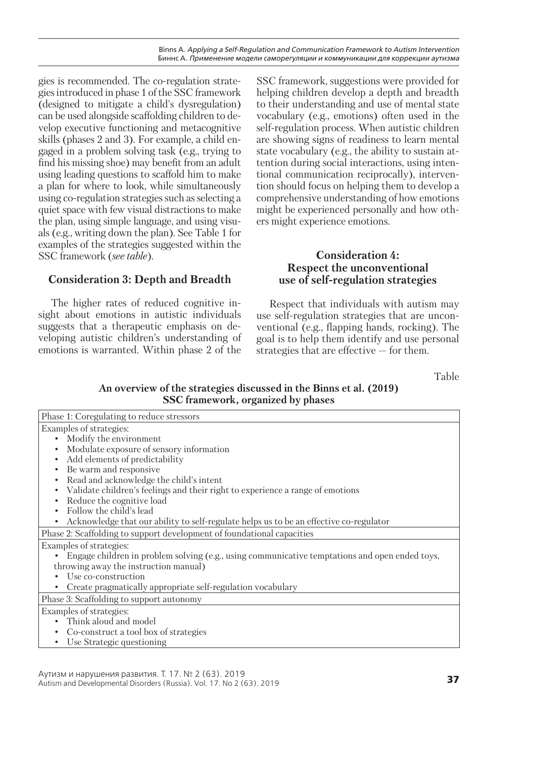gies is recommended. The co-regulation strategies introduced in phase 1 of the SSC framework (designed to mitigate a child's dysregulation) can be used alongside scaffolding children to develop executive functioning and metacognitive skills (phases 2 and 3). For example, a child engaged in a problem solving task (e.g., trying to find his missing shoe) may benefit from an adult using leading questions to scaffold him to make a plan for where to look, while simultaneously using co-regulation strategies such as selecting a quiet space with few visual distractions to make the plan, using simple language, and using visuals (e.g., writing down the plan). See Table 1 for examples of the strategies suggested within the SSC framework (*see table*).

# **Consideration 3: Depth and Breadth**

The higher rates of reduced cognitive insight about emotions in autistic individuals suggests that a therapeutic emphasis on developing autistic children's understanding of emotions is warranted. Within phase 2 of the

SSC framework, suggestions were provided for helping children develop a depth and breadth to their understanding and use of mental state vocabulary (e.g., emotions) often used in the self-regulation process. When autistic children are showing signs of readiness to learn mental state vocabulary (e.g., the ability to sustain attention during social interactions, using intentional communication reciprocally), intervention should focus on helping them to develop a comprehensive understanding of how emotions might be experienced personally and how others might experience emotions.

# **Consideration 4: Respect the unconventional use of self-regulation strategies**

Respect that individuals with autism may use self-regulation strategies that are unconventional (e.g., flapping hands, rocking). The goal is to help them identify and use personal strategies that are effective — for them.

Table

# **An overview of the strategies discussed in the Binns et al. (2019) SSC framework, organized by phases**

| Phase 1: Coregulating to reduce stressors                                                           |  |  |
|-----------------------------------------------------------------------------------------------------|--|--|
| Examples of strategies:                                                                             |  |  |
| Modify the environment<br>$\bullet$                                                                 |  |  |
| Modulate exposure of sensory information                                                            |  |  |
| Add elements of predictability<br>$\bullet$                                                         |  |  |
| Be warm and responsive<br>$\bullet$                                                                 |  |  |
| Read and acknowledge the child's intent<br>$\bullet$                                                |  |  |
| Validate children's feelings and their right to experience a range of emotions<br>$\bullet$         |  |  |
| Reduce the cognitive load<br>$\bullet$                                                              |  |  |
| Follow the child's lead                                                                             |  |  |
| Acknowledge that our ability to self-regulate helps us to be an effective co-regulator<br>$\bullet$ |  |  |
| Phase 2: Scaffolding to support development of foundational capacities                              |  |  |
| Examples of strategies:                                                                             |  |  |
| Engage children in problem solving (e.g., using communicative temptations and open ended toys,      |  |  |
| throwing away the instruction manual)                                                               |  |  |
| Use co-construction                                                                                 |  |  |
| Create pragmatically appropriate self-regulation vocabulary                                         |  |  |
| Phase 3: Scaffolding to support autonomy                                                            |  |  |
| Examples of strategies:                                                                             |  |  |
| Think aloud and model                                                                               |  |  |
| Co-construct a tool box of strategies                                                               |  |  |

• Use Strategic questioning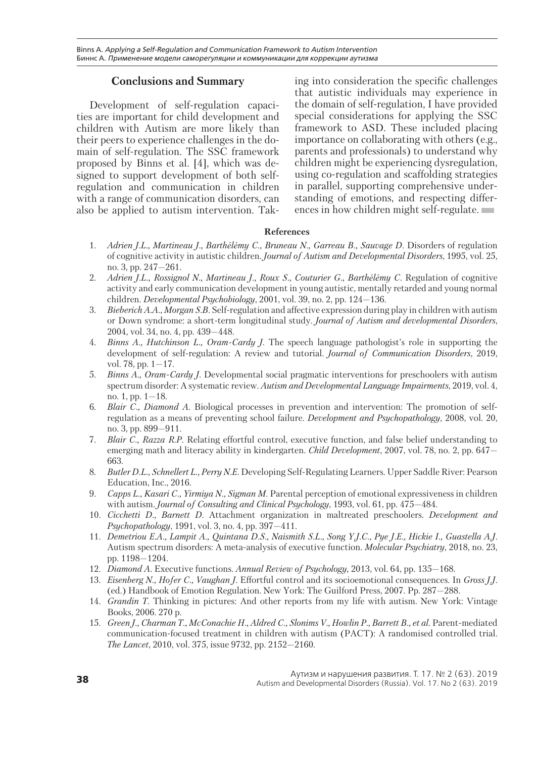# **Conclusions and Summary**

Development of self-regulation capacities are important for child development and children with Autism are more likely than their peers to experience challenges in the domain of self-regulation. The SSC framework proposed by Binns et al. [4], which was designed to support development of both selfregulation and communication in children with a range of communication disorders, can also be applied to autism intervention. Taking into consideration the specific challenges that autistic individuals may experience in the domain of self-regulation, I have provided special considerations for applying the SSC framework to ASD. These included placing importance on collaborating with others (e.g., parents and professionals) to understand why children might be experiencing dysregulation, using co-regulation and scaffolding strategies in parallel, supporting comprehensive understanding of emotions, and respecting differences in how children might self-regulate.

### **References**

- 1. *Adrien J.L., Martineau J., Barthélémy C., Bruneau N., Garreau B., Sauvage D.* Disorders of regulation of cognitive activity in autistic children. *Journal of Autism and Developmental Disorders*, 1995, vol. 25, no. 3, pp. 247—261.
- 2. *Adrien J.L., Rossignol N., Martineau J., Roux S., Couturier G., Barthélémy C.* Regulation of cognitive activity and early communication development in young autistic, mentally retarded and young normal children. *Developmental Psychobiology*, 2001, vol. 39, no. 2, pp. 124—136.
- 3. *Bieberich A.A., Morgan S.B.* Self-regulation and affective expression during play in children with autism or Down syndrome: a short-term longitudinal study. *Journal of Autism and developmental Disorders*, 2004, vol. 34, no. 4, pp. 439—448.
- 4. *Binns A., Hutchinson L., Oram-Cardy J.* The speech language pathologist's role in supporting the development of self-regulation: A review and tutorial. *Journal of Communication Disorders*, 2019, vol. 78, pp.  $1 - 17$ .
- 5. *Binns A., Oram-Cardy J.* Developmental social pragmatic interventions for preschoolers with autism spectrum disorder: A systematic review. *Autism and Developmental Language Impairments*, 2019, vol. 4, no. 1, pp. 1—18.
- 6. *Blair C., Diamond A.* Biological processes in prevention and intervention: The promotion of selfregulation as a means of preventing school failure. *Development and Psychopathology*, 2008, vol. 20, no. 3, pp. 899—911.
- 7. *Blair C., Razza R.P.* Relating effortful control, executive function, and false belief understanding to emerging math and literacy ability in kindergarten. *Child Development*, 2007, vol. 78, no. 2, pp. 647— 663.
- 8. *Butler D.L., Schnellert L., Perry N.E.* Developing Self-Regulating Learners. Upper Saddle River: Pearson Education, Inc., 2016.
- 9. *Capps L., Kasari C., Yirmiya N., Sigman M.* Parental perception of emotional expressiveness in children with autism. *Journal of Consulting and Clinical Psychology*, 1993, vol. 61, pp. 475—484.
- 10. *Cicchetti D., Barnett D.* Attachment organization in maltreated preschoolers. *Development and Psychopathology*, 1991, vol. 3, no. 4, pp. 397—411.
- 11. *Demetriou E.A., Lampit A., Quintana D.S., Naismith S.L., Song Y.J.C., Pye J.E., Hickie I., Guastella A.J.* Autism spectrum disorders: A meta-analysis of executive function. *Molecular Psychiatry*, 2018, no. 23, pp. 1198—1204.
- 12. *Diamond A.* Executive functions. *Annual Review of Psychology,* 2013, vol. 64, pp. 135—168.
- 13. *Eisenberg N., Hofer C., Vaughan J.* Effortful control and its socioemotional consequences. In *Gross J.J.* (ed.) Handbook of Emotion Regulation. New York: The Guilford Press, 2007. Pp. 287—288.
- 14. *Grandin T.* Thinking in pictures: And other reports from my life with autism. New York: Vintage Books, 2006. 270 p.
- 15. *Green J., Charman T., McConachie H., Aldred C., Slonims V., Howlin P., Barrett B., et al.* Parent-mediated communication-focused treatment in children with autism (PACT): A randomised controlled trial. *The Lancet*, 2010, vol. 375, issue 9732, pp. 2152—2160.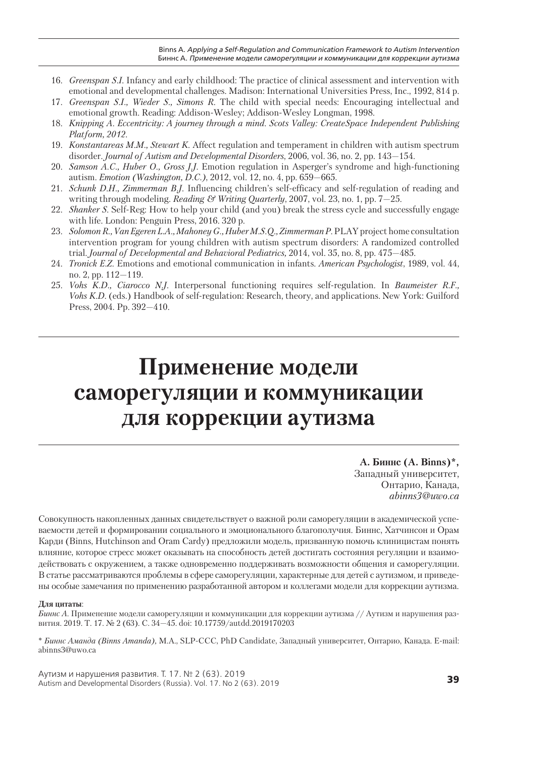- 16. *Greenspan S.I.* Infancy and early childhood: The practice of clinical assessment and intervention with emotional and developmental challenges. Madison: International Universities Press, Inc., 1992, 814 p.
- 17. *Greenspan S.I., Wieder S., Simons R.* The child with special needs: Encouraging intellectual and emotional growth. Reading: Addison-Wesley; Addison-Wesley Longman, 1998.
- 18. *Knipping A. Eccentricity: A journey through a mind. Scots Valley: CreateSpace Independent Publishing Platform, 2012.*
- 19. *Konstantareas M.M., Stewart K.* Affect regulation and temperament in children with autism spectrum disorder. *Journal of Autism and Developmental Disorders*, 2006, vol. 36, no. 2, pp. 143—154.
- 20. *Samson A.C., Huber O., Gross J.J.* Emotion regulation in Asperger's syndrome and high-functioning autism. *Emotion (Washington, D.C.)*, 2012, vol. 12, no. 4, pp. 659—665.
- 21. *Schunk D.H., Zimmerman B.J.* Influencing children's self-efficacy and self-regulation of reading and writing through modeling. *Reading & Writing Quarterly*, 2007, vol. 23, no. 1, pp. 7—25.
- 22. *Shanker S.* Self-Reg: How to help your child (and you) break the stress cycle and successfully engage with life. London: Penguin Press, 2016. 320 p.
- 23. *Solomon R., Van Egeren L.A., Mahoney G., Huber M.S.Q., Zimmerman P.* PLAY project home consultation intervention program for young children with autism spectrum disorders: A randomized controlled trial. *Journal of Developmental and Behavioral Pediatrics,* 2014, vol. 35, no. 8, pp. 475—485.
- 24. *Tronick E.Z.* Emotions and emotional communication in infants. *American Psychologist*, 1989, vol. 44, no. 2, pp. 112—119.
- 25. *Vohs K.D., Ciarocco N.J.* Interpersonal functioning requires self-regulation. In *Baumeister R.F., Vohs K.D.* (eds.) Handbook of self-regulation: Research, theory, and applications. New York: Guilford Press, 2004. Pp. 392—410.

# **Применение модели саморегуляции и коммуникации для коррекции аутизма**

**А. Биннс (A. Binns)\*,** Западный университет, Онтарио, Канада, *abinns3@uwo.ca*

Совокупность накопленных данных свидетельствует о важной роли саморегуляции в академической успеваемости детей и формировании социального и эмоционального благополучия. Биннс, Хатчинсон и Орам Карди (Binns, Hutchinson and Oram Cardy) предложили модель, призванную помочь клиницистам понять влияние, которое стресс может оказывать на способность детей достигать состояния регуляции и взаимодействовать с окружением, а также одновременно поддерживать возможности общения и саморегуляции. В статье рассматриваются проблемы в сфере саморегуляции, характерные для детей с аутизмом, и приведены особые замечания по применению разработанной автором и коллегами модели для коррекции аутизма.

#### **Для цитаты**:

*Биннс А.* Применение модели саморегуляции и коммуникации для коррекции аутизма // Аутизм и нарушения развития. 2019. Т. 17. № 2 (63). С. 34—45. doi: 10.17759/autdd.2019170203

\* *Биннс Аманда (Binns Amanda),* M.A., SLP-CCC, PhD Candidate, Западный университет, Онтарио, Канада. E-mail: abinns3@uwo.ca

**<sup>39</sup>** Аутизм и нарушения развития. Т. 17. № 2 (63). 2019 Autism and Developmental Disorders (Russia). Vol. 17. No 2 (63). 2019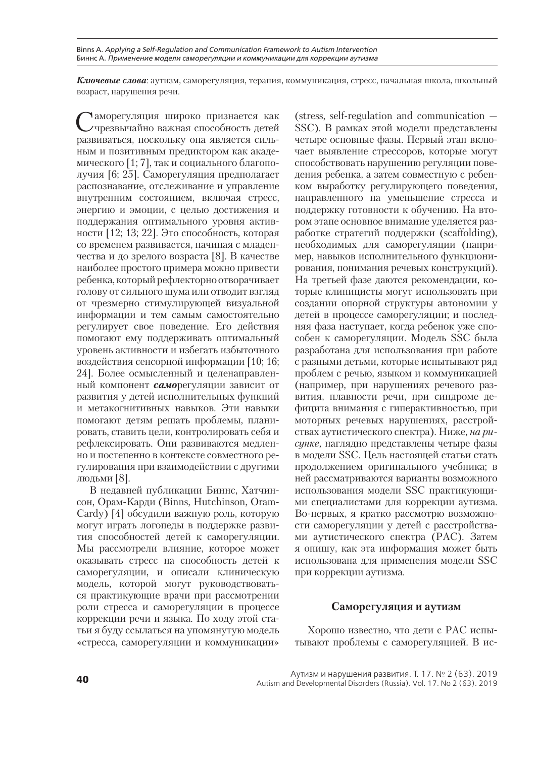Binns A. *Applying a Self-Regulation and Communication Framework to Autism Intervention* Биннс А. *Применение модели саморегуляции и коммуникации для коррекции аутизма*

*Ключевые слова*: аутизм, саморегуляция, терапия, коммуникация, стресс, начальная школа, школьный возраст, нарушения речи.

Таморегуляция широко признается как чрезвычайно важная способность детей развиваться, поскольку она является сильным и позитивным предиктором как академического [1; 7], так и социального благополучия [6; 25]. Саморегуляция предполагает распознавание, отслеживание и управление внутренним состоянием, включая стресс, энергию и эмоции, с целью достижения и поддержания оптимального уровня активности [12; 13; 22]. Это способность, которая со временем развивается, начиная с младенчества и до зрелого возраста [8]. В качестве наиболее простого примера можно привести ребенка, который рефлекторно отворачивает голову от сильного шума или отводит взгляд от чрезмерно стимулирующей визуальной информации и тем самым самостоятельно регулирует свое поведение. Его действия помогают ему поддерживать оптимальный уровень активности и избегать избыточного воздействия сенсорной информации [10; 16; 24]. Более осмысленный и целенаправленный компонент *само*регуляции зависит от развития у детей исполнительных функций и метакогнитивных навыков. Эти навыки помогают детям решать проблемы, планировать, ставить цели, контролировать себя и рефлексировать. Они развиваются медленно и постепенно в контексте совместного регулирования при взаимодействии с другими людьми [8].

В недавней публикации Биннс, Хатчинсон, Орам-Карди (Binns, Hutchinson, Oram-Cardy) [4] обсудили важную роль, которую могут играть логопеды в поддержке развития способностей детей к саморегуляции. Мы рассмотрели влияние, которое может оказывать стресс на способность детей к саморегуляции, и описали клиническую модель, которой могут руководствоваться практикующие врачи при рассмотрении роли стресса и саморегуляции в процессе коррекции речи и языка. По ходу этой статьи я буду ссылаться на упомянутую модель «стресса, саморегуляции и коммуникации»

(stress, self-regulation and communication — SSC). В рамках этой модели представлены четыре основные фазы. Первый этап включает выявление стрессоров, которые могут способствовать нарушению регуляции поведения ребенка, а затем совместную с ребенком выработку регулирующего поведения, направленного на уменьшение стресса и поддержку готовности к обучению. На втором этапе основное внимание уделяется разработке стратегий поддержки (scaffolding), необходимых для саморегуляции (например, навыков исполнительного функционирования, понимания речевых конструкций). На третьей фазе даются рекомендации, которые клиницисты могут использовать при создании опорной структуры автономии у детей в процессе саморегуляции; и последняя фаза наступает, когда ребенок уже способен к саморегуляции. Модель SSC была разработана для использования при работе с разными детьми, которые испытывают ряд проблем с речью, языком и коммуникацией (например, при нарушениях речевого развития, плавности речи, при синдроме дефицита внимания с гиперактивностью, при моторных речевых нарушениях, расстройствах аутистического спектра). Ниже, *на рисунке,* наглядно представлены четыре фазы в модели SSC. Цель настоящей статьи стать продолжением оригинального учебника; в ней рассматриваются варианты возможного использования модели SSC практикующими специалистами для коррекции аутизма. Во-первых, я кратко рассмотрю возможности саморегуляции у детей с расстройствами аутистического спектра (РАС). Затем я опишу, как эта информация может быть использована для применения модели SSC при коррекции аутизма.

### **Саморегуляция и аутизм**

Хорошо известно, что дети с РАС испытывают проблемы с саморегуляцией. В ис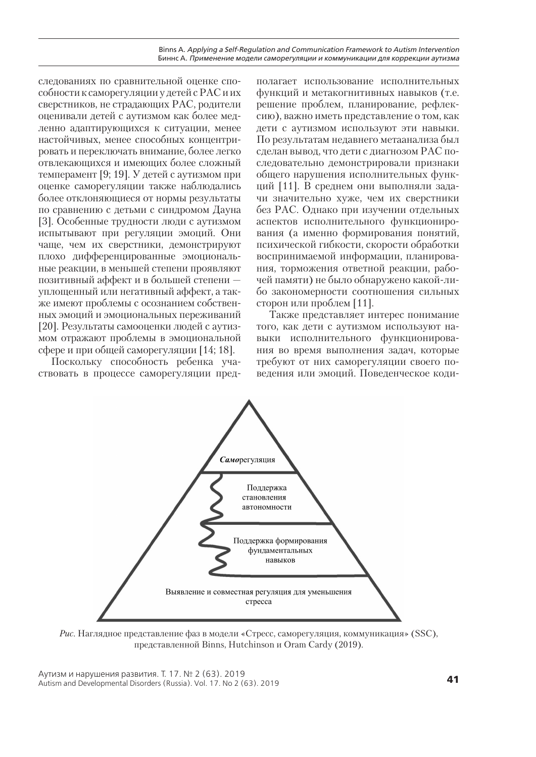следованиях по сравнительной оценке способности к саморегуляции у детей с РАС и их сверстников, не страдающих РАС, родители оценивали детей с аутизмом как более медленно адаптирующихся к ситуации, менее настойчивых, менее способных концентрировать и переключать внимание, более легко отвлекающихся и имеющих более сложный темперамент [9; 19]. У детей с аутизмом при оценке саморегуляции также наблюдались более отклоняющиеся от нормы результаты по сравнению с детьми с синдромом Дауна [3]. Особенные трудности люди с аутизмом испытывают при регуляции эмоций. Они чаще, чем их сверстники, демонстрируют плохо дифференцированные эмоциональные реакции, в меньшей степени проявляют позитивный аффект и в большей степени уплощенный или негативный аффект, а также имеют проблемы с осознанием собственных эмоций и эмоциональных переживаний [20]. Результаты самооценки людей с аутизмом отражают проблемы в эмоциональной сфере и при общей саморегуляции [14; 18].

Поскольку способность ребенка участвовать в процессе саморегуляции пред-

полагает использование исполнительных функций и метакогнитивных навыков (т.е. решение проблем, планирование, рефлексию), важно иметь представление о том, как дети с аутизмом используют эти навыки. По результатам недавнего метаанализа был сделан вывод, что дети с диагнозом РАС последовательно демонстрировали признаки общего нарушения исполнительных функций [11]. В среднем они выполняли задачи значительно хуже, чем их сверстники без РАС. Однако при изучении отдельных аспектов исполнительного функционирования (а именно формирования понятий, психической гибкости, скорости обработки воспринимаемой информации, планирования, торможения ответной реакции, рабочей памяти) не было обнаружено какой-либо закономерности соотношения сильных сторон или проблем [11].

Также представляет интерес понимание того, как дети с аутизмом используют навыки исполнительного функционирования во время выполнения задач, которые требуют от них саморегуляции своего поведения или эмоций. Поведенческое коди-



*Рис.* Наглядное представление фаз в модели «Стресс, саморегуляция, коммуникация» (SSC), представленной Binns, Hutchinson и Oram Cardy (2019).

**<sup>41</sup>** Аутизм и нарушения развития. Т. 17. № 2 (63). 2019 Autism and Developmental Disorders (Russia). Vol. 17. No 2 (63). 2019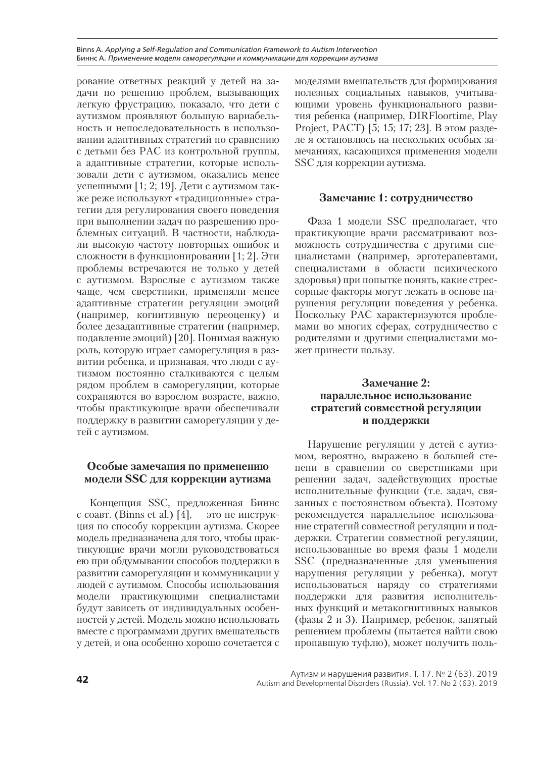Binns A. *Applying a Self-Regulation and Communication Framework to Autism Intervention* Биннс А. *Применение модели саморегуляции и коммуникации для коррекции аутизма*

рование ответных реакций у детей на задачи по решению проблем, вызывающих легкую фрустрацию, показало, что дети с аутизмом проявляют большую вариабельность и непоследовательность в использовании адаптивных стратегий по сравнению с детьми без РАС из контрольной группы, а адаптивные стратегии, которые использовали дети с аутизмом, оказались менее успешными [1; 2; 19]. Дети с аутизмом также реже используют «традиционные» стратегии для регулирования своего поведения при выполнении задач по разрешению проблемных ситуаций. В частности, наблюдали высокую частоту повторных ошибок и сложности в функционировании [1; 2]. Эти проблемы встречаются не только у детей с аутизмом. Взрослые с аутизмом также чаще, чем сверстники, применяли менее адаптивные стратегии регуляции эмоций (например, когнитивную переоценку) и более дезадаптивные стратегии (например, подавление эмоций) [20]. Понимая важную роль, которую играет саморегуляция в развитии ребенка, и признавая, что люди с аутизмом постоянно сталкиваются с целым рядом проблем в саморегуляции, которые сохраняются во взрослом возрасте, важно, чтобы практикующие врачи обеспечивали поддержку в развитии саморегуляции у детей с аутизмом.

### **Особые замечания по применению модели SSC для коррекции аутизма**

Концепция SSC, предложенная Биннс с соавт. (Binns et al.)  $\overline{[4]}$ , – это не инструкция по способу коррекции аутизма. Скорее модель предназначена для того, чтобы практикующие врачи могли руководствоваться ею при обдумывании способов поддержки в развитии саморегуляции и коммуникации у людей с аутизмом. Способы использования модели практикующими специалистами будут зависеть от индивидуальных особенностей у детей. Модель можно использовать вместе с программами других вмешательств у детей, и она особенно хорошо сочетается с

моделями вмешательств для формирования полезных социальных навыков, учитывающими уровень функционального развития ребенка (например, DIRFloortime, Play Project, PACT) [5; 15; 17; 23]. В этом разделе я остановлюсь на нескольких особых замечаниях, касающихся применения модели SSC для коррекции аутизма.

### **Замечание 1: сотрудничество**

Фаза 1 модели SSC предполагает, что практикующие врачи рассматривают возможность сотрудничества с другими специалистами (например, эрготерапевтами, специалистами в области психического здоровья) при попытке понять, какие стрессорные факторы могут лежать в основе нарушения регуляции поведения у ребенка. Поскольку РАС характеризуются проблемами во многих сферах, сотрудничество с родителями и другими специалистами может принести пользу.

# **Замечание 2: параллельное использование стратегий совместной регуляции и поддержки**

Нарушение регуляции у детей с аутизмом, вероятно, выражено в большей степени в сравнении со сверстниками при решении задач, задействующих простые исполнительные функции (т.е. задач, связанных с постоянством объекта). Поэтому рекомендуется параллельное использование стратегий совместной регуляции и поддержки. Стратегии совместной регуляции, использованные во время фазы 1 модели SSC (предназначенные для уменьшения нарушения регуляции у ребенка), могут использоваться наряду со стратегиями поддержки для развития исполнительных функций и метакогнитивных навыков (фазы 2 и 3). Например, ребенок, занятый решением проблемы (пытается найти свою пропавшую туфлю), может получить поль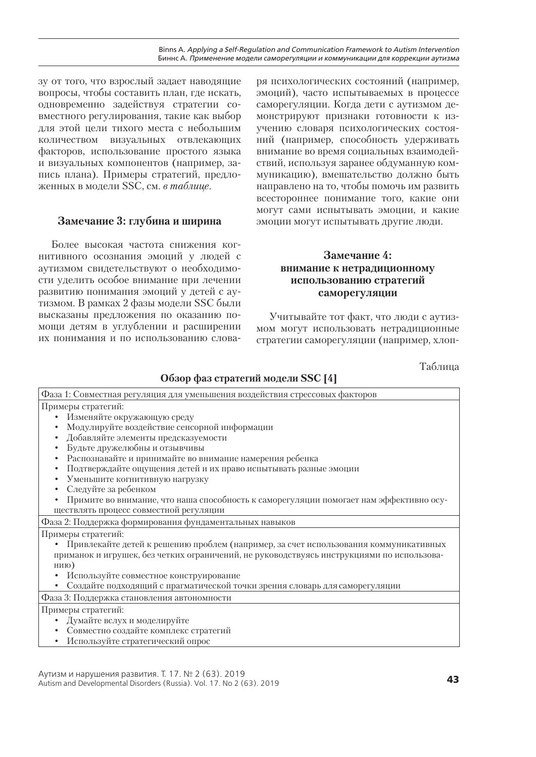зу от того, что взрослый задает наводящие вопросы, чтобы составить план, где искать, одновременно задействуя стратегии совместного регулирования, такие как выбор для этой цели тихого места с небольшим количеством визуальных отвлекающих факторов, использование простого языка и визуальных компонентов (например, запись плана). Примеры стратегий, предложенных в модели SSC, см. *в таблице*.

# **Замечание 3: глубина и ширина**

Более высокая частота снижения когнитивного осознания эмоций у людей с аутизмом свидетельствуют о необходимости уделить особое внимание при лечении развитию понимания эмоций у детей с аутизмом. В рамках 2 фазы модели SSC были высказаны предложения по оказанию помощи детям в углублении и расширении их понимания и по использованию слова-

ря психологических состояний (например, эмоций), часто испытываемых в процессе саморегуляции. Когда дети с аутизмом демонстрируют признаки готовности к изучению словаря психологических состояний (например, способность удерживать внимание во время социальных взаимодействий, используя заранее обдуманную коммуникацию), вмешательство должно быть направлено на то, чтобы помочь им развить всестороннее понимание того, какие они могут сами испытывать эмоции, и какие эмоции могут испытывать другие люди.

# **Замечание 4: внимание к нетрадиционному использованию стратегий саморегуляции**

Учитывайте тот факт, что люди с аутизмом могут использовать нетрадиционные стратегии саморегуляции (например, хлоп-

Таблица

|  | Обзор фаз стратегий модели SSC [4] |  |
|--|------------------------------------|--|
|--|------------------------------------|--|

| Фаза 1: Совместная регуляция для уменьшения воздействия стрессовых факторов               |  |  |
|-------------------------------------------------------------------------------------------|--|--|
| Примеры стратегий:                                                                        |  |  |
| Изменяйте окружающую среду                                                                |  |  |
| Модулируйте воздействие сенсорной информации                                              |  |  |
| Добавляйте элементы предсказуемости                                                       |  |  |
| Будьте дружелюбны и отзывчивы                                                             |  |  |
| Распознавайте и принимайте во внимание намерения ребенка                                  |  |  |
| Подтверждайте ощущения детей и их право испытывать разные эмоции                          |  |  |
| Уменьшите когнитивную нагрузку                                                            |  |  |
| Следуйте за ребенком                                                                      |  |  |
| Примите во внимание, что наша способность к саморегуляции помогает нам эффективно осу-    |  |  |
| ществлять процесс совместной регуляции                                                    |  |  |
| Фаза 2: Поддержка формирования фундаментальных навыков                                    |  |  |
| Примеры стратегий:                                                                        |  |  |
| • Привлекайте детей к решению проблем (например, за счет использования коммуникативных    |  |  |
| приманок и игрушек, без четких ограничений, не руководствуясь инструкциями по использова- |  |  |
| нию)                                                                                      |  |  |
| Используйте совместное конструирование                                                    |  |  |
| Создайте подходящий с прагматической точки зрения словарь для саморегуляции               |  |  |
| Фаза 3: Поддержка становления автономности                                                |  |  |
| Примеры стратегий:                                                                        |  |  |
| Думайте вслух и моделируйте                                                               |  |  |
| Совместно создайте комплекс стратегий                                                     |  |  |
| • Используйте стратегический опрос                                                        |  |  |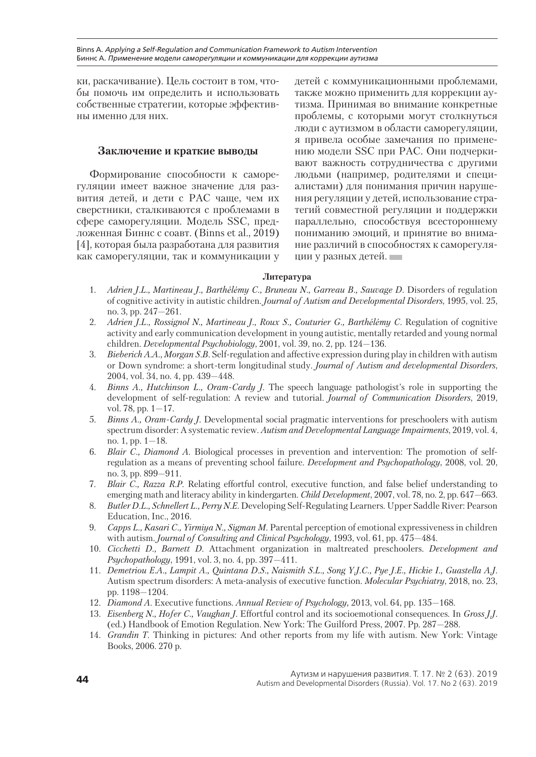ки, раскачивание). Цель состоит в том, чтобы помочь им определить и использовать собственные стратегии, которые эффективны именно для них.

### **Заключение и краткие выводы**

Формирование способности к саморегуляции имеет важное значение для развития детей, и дети с РАС чаще, чем их сверстники, сталкиваются с проблемами в сфере саморегуляции. Модель SSC, предложенная Биннс с соавт. (Binns et al., 2019) [4], которая была разработана для развития как саморегуляции, так и коммуникации у детей с коммуникационными проблемами, также можно применить для коррекции аутизма. Принимая во внимание конкретные проблемы, с которыми могут столкнуться люди с аутизмом в области саморегуляции, я привела особые замечания по применению модели SSC при РАС. Они подчеркивают важность сотрудничества с другими людьми (например, родителями и специалистами) для понимания причин нарушения регуляции у детей, использование стратегий совместной регуляции и поддержки параллельно, способствуя всестороннему пониманию эмоций, и принятие во внимание различий в способностях к саморегуляции у разных детей.

### **Литература**

- 1. *Adrien J.L., Martineau J., Barthélémy C., Bruneau N., Garreau B., Sauvage D.* Disorders of regulation of cognitive activity in autistic children. *Journal of Autism and Developmental Disorders*, 1995, vol. 25, no. 3, pp. 247—261.
- 2. *Adrien J.L., Rossignol N., Martineau J., Roux S., Couturier G., Barthélémy C.* Regulation of cognitive activity and early communication development in young autistic, mentally retarded and young normal children. *Developmental Psychobiology*, 2001, vol. 39, no. 2, pp. 124—136.
- 3. *Bieberich A.A., Morgan S.B.* Self-regulation and affective expression during play in children with autism or Down syndrome: a short-term longitudinal study. *Journal of Autism and developmental Disorders*, 2004, vol. 34, no. 4, pp. 439—448.
- 4. *Binns A., Hutchinson L., Oram-Cardy J.* The speech language pathologist's role in supporting the development of self-regulation: A review and tutorial. *Journal of Communication Disorders*, 2019, vol. 78, pp. 1—17.
- 5. *Binns A., Oram-Cardy J.* Developmental social pragmatic interventions for preschoolers with autism spectrum disorder: A systematic review. *Autism and Developmental Language Impairments*, 2019, vol. 4, no. 1, pp. 1—18.
- 6. *Blair C., Diamond A.* Biological processes in prevention and intervention: The promotion of selfregulation as a means of preventing school failure. *Development and Psychopathology*, 2008, vol. 20, no. 3, pp. 899—911.
- 7. *Blair C., Razza R.P.* Relating effortful control, executive function, and false belief understanding to emerging math and literacy ability in kindergarten. *Child Development*, 2007, vol. 78, no. 2, pp. 647—663.
- 8. *Butler D.L., Schnellert L., Perry N.E.* Developing Self-Regulating Learners. Upper Saddle River: Pearson Education, Inc., 2016.
- 9. *Capps L., Kasari C., Yirmiya N., Sigman M.* Parental perception of emotional expressiveness in children with autism. *Journal of Consulting and Clinical Psychology*, 1993, vol. 61, pp. 475—484.
- 10. *Cicchetti D., Barnett D.* Attachment organization in maltreated preschoolers. *Development and Psychopathology*, 1991, vol. 3, no. 4, pp. 397—411.
- 11. *Demetriou E.A., Lampit A., Quintana D.S., Naismith S.L., Song Y.J.C., Pye J.E., Hickie I., Guastella A.J.* Autism spectrum disorders: A meta-analysis of executive function. *Molecular Psychiatry*, 2018, no. 23, pp. 1198—1204.
- 12. *Diamond A.* Executive functions. *Annual Review of Psychology,* 2013, vol. 64, pp. 135—168.
- 13. *Eisenberg N., Hofer C., Vaughan J.* Effortful control and its socioemotional consequences. In *Gross J.J.* (ed.) Handbook of Emotion Regulation. New York: The Guilford Press, 2007. Pp. 287—288.
- 14. *Grandin T.* Thinking in pictures: And other reports from my life with autism. New York: Vintage Books, 2006. 270 p.